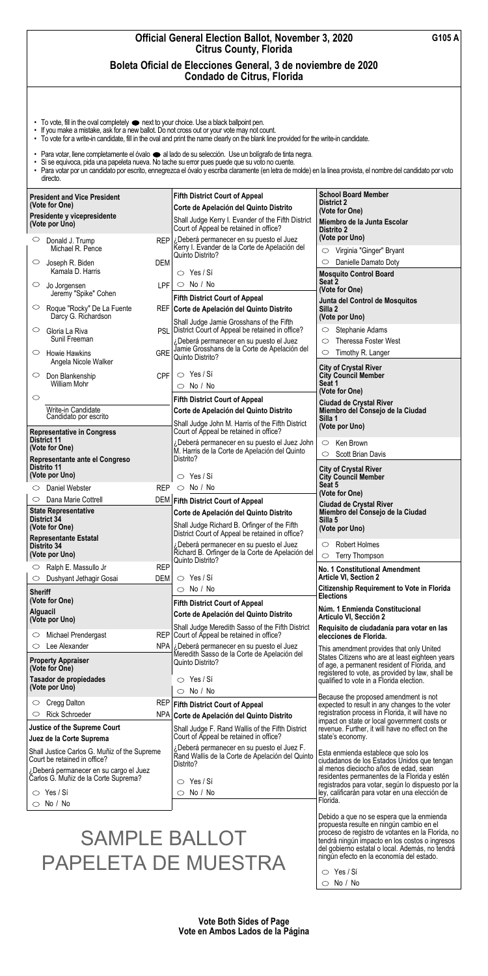| <b>Official General Election Ballot, November 3, 2020</b><br>G105 A<br><b>Citrus County, Florida</b><br>Boleta Oficial de Elecciones General, 3 de noviembre de 2020<br>Condado de Citrus, Florida |                   |                                                                                                                  |                                                                                                                                                    |  |  |
|----------------------------------------------------------------------------------------------------------------------------------------------------------------------------------------------------|-------------------|------------------------------------------------------------------------------------------------------------------|----------------------------------------------------------------------------------------------------------------------------------------------------|--|--|
|                                                                                                                                                                                                    |                   |                                                                                                                  |                                                                                                                                                    |  |  |
| <b>President and Vice President</b><br>(Vote for One)                                                                                                                                              |                   | <b>Fifth District Court of Appeal</b>                                                                            | <b>School Board Member</b><br><b>District 2</b>                                                                                                    |  |  |
| Presidente y vicepresidente<br>(Vote por Uno)                                                                                                                                                      |                   | Corte de Apelación del Quinto Distrito<br>Shall Judge Kerry I. Evander of the Fifth District                     | (Vote for One)<br>Miembro de la Junta Escolar                                                                                                      |  |  |
| $\circ$<br>Donald J. Trump                                                                                                                                                                         | <b>REP</b>        | Court of Appeal be retained in office?<br>¿Deberá permanecer en su puesto el Juez                                | Distrito 2<br>(Vote por Uno)                                                                                                                       |  |  |
| Michael R. Pence                                                                                                                                                                                   |                   | Kerry I. Evander de la Corte de Apelación del<br>Quinto Distrito?                                                | Virginia "Ginger" Bryant<br>$\circ$                                                                                                                |  |  |
| $\circ$<br>Joseph R. Biden<br>Kamala D. Harris                                                                                                                                                     | DEM               | $\circ$ Yes / Si                                                                                                 | Danielle Damato Doty<br><b>Mosquito Control Board</b>                                                                                              |  |  |
| $\circ$<br>Jo Jorgensen<br>Jeremy "Spike" Cohen                                                                                                                                                    | <b>LPF</b>        | $\circ$ No / No<br><b>Fifth District Court of Appeal</b>                                                         | Seat 2<br>(Vote for One)                                                                                                                           |  |  |
| $\circ$<br>Roque "Rocky" De La Fuente<br>Darcy G. Richardson                                                                                                                                       |                   | REF Corte de Apelación del Quinto Distrito                                                                       | Junta del Control de Mosquitos<br>Silla 2<br>(Vote por Uno)                                                                                        |  |  |
| $\circ$<br>Gloria La Riva                                                                                                                                                                          |                   | Shall Judge Jamie Grosshans of the Fifth<br>PSL   District Court of Appeal be retained in office?                | Stephanie Adams                                                                                                                                    |  |  |
| Sunil Freeman<br>$\circ$<br><b>Howie Hawkins</b>                                                                                                                                                   | <b>GRE</b>        | ¿Deberá permanecer en su puesto el Juez<br>Jamie Grosshans de la Corte de Apelación del<br>Quinto Distrito?      | Theressa Foster West<br>$\circ$<br>Timothy R. Langer<br>$\circ$                                                                                    |  |  |
| Angela Nicole Walker<br>$\circ$<br>Don Blankenship                                                                                                                                                 | CPF               | $\circ$ Yes / Si                                                                                                 | <b>City of Crystal River</b><br><b>City Council Member</b>                                                                                         |  |  |
| William Mohr                                                                                                                                                                                       |                   | $\circ$ No / No                                                                                                  | Seat 1<br>(Vote for One)                                                                                                                           |  |  |
| $\circ$<br>Write-in Candidate                                                                                                                                                                      |                   | <b>Fifth District Court of Appeal</b><br>Corte de Apelación del Quinto Distrito                                  | <b>Ciudad de Crystal River</b><br>Miembro del Consejo de la Ciudad                                                                                 |  |  |
| Candidato por escrito<br><b>Representative in Congress</b>                                                                                                                                         |                   | Shall Judge John M. Harris of the Fifth District<br>Court of Appeal be retained in office?                       | Silla 1<br>(Vote por Uno)                                                                                                                          |  |  |
| <b>District 11</b><br>(Vote for One)                                                                                                                                                               |                   | ¿Deberá permanecer en su puesto el Juez John<br>M. Harris de la Corte de Apelación del Quinto                    | Ken Brown<br>$\circ$                                                                                                                               |  |  |
| Representante ante el Congreso<br>Distrito 11                                                                                                                                                      |                   | Distrito?                                                                                                        | <b>Scott Brian Davis</b><br>$\circlearrowright$                                                                                                    |  |  |
| (Vote por Uno)                                                                                                                                                                                     |                   | Yes / Sí<br>$\bigcirc$                                                                                           | <b>City of Crystal River</b><br><b>City Council Member</b><br>Seat 5                                                                               |  |  |
| Daniel Webster<br>$\circ$<br>Dana Marie Cottrell<br>$\circ$                                                                                                                                        | <b>REP</b><br>DEM | $\circ$ No / No<br><b>Fifth District Court of Appeal</b>                                                         | (Vote for One)                                                                                                                                     |  |  |
| <b>State Representative</b>                                                                                                                                                                        |                   | Corte de Apelación del Quinto Distrito                                                                           | <b>Ciudad de Crystal River</b><br>Miembro del Consejo de la Ciudad                                                                                 |  |  |
| <b>District 34</b><br>(Vote for One)                                                                                                                                                               |                   | Shall Judge Richard B. Orfinger of the Fifth<br>District Court of Appeal be retained in office?                  | Silla 5<br>(Vote por Uno)                                                                                                                          |  |  |
| <b>Representante Estatal</b><br>Distrito 34                                                                                                                                                        |                   | ¿Deberá permanecer en su puesto el Juez<br>Richard B. Orfinger de la Corte de Apelación del                      | <b>Robert Holmes</b><br>O                                                                                                                          |  |  |
| (Vote por Uno)<br>Ralph E. Massullo Jr<br>$\circ$                                                                                                                                                  | <b>REP</b>        | Quinto Distrito?                                                                                                 | Terry Thompson<br>$\circlearrowright$<br><b>No. 1 Constitutional Amendment</b>                                                                     |  |  |
| Dushyant Jethagir Gosai<br>O                                                                                                                                                                       | <b>DEM</b>        | $\circ$ Yes / Si<br>$\circ$ No / No                                                                              | <b>Article VI, Section 2</b><br><b>Citizenship Requirement to Vote in Florida</b>                                                                  |  |  |
| <b>Sheriff</b><br>(Vote for One)                                                                                                                                                                   |                   | <b>Fifth District Court of Appeal</b>                                                                            | <b>Elections</b>                                                                                                                                   |  |  |
| <b>Alguacil</b><br>(Vote por Uno)                                                                                                                                                                  |                   | Corte de Apelación del Quinto Distrito                                                                           | Núm. 1 Enmienda Constitucional<br>Artículo VI, Sección 2                                                                                           |  |  |
| Michael Prendergast<br>$\circ$                                                                                                                                                                     |                   | Shall Judge Meredith Sasso of the Fifth District<br>REP Court of Appeal be retained in office?                   | Requisito de ciudadanía para votar en las<br>elecciones de Florida.                                                                                |  |  |
| Lee Alexander<br>$\circ$<br><b>Property Appraiser</b>                                                                                                                                              |                   | NPA   ¿Deberá permanecer en su puesto el Juez<br>Meredith Sasso de la Corte de Apelación del<br>Quinto Distrito? | This amendment provides that only United<br>States Citizens who are at least eighteen years<br>of age, a permanent resident of Florida, and        |  |  |
| (Vote for One)<br>Tasador de propiedades<br>(Vote por Uno)                                                                                                                                         |                   | $\circ$ Yes / Sí                                                                                                 | registered to vote, as provided by law, shall be<br>qualified to vote in a Florida election.                                                       |  |  |
|                                                                                                                                                                                                    |                   | No / No<br>$\circ$                                                                                               | Because the proposed amendment is not                                                                                                              |  |  |
| Cregg Dalton<br>O<br><b>Rick Schroeder</b><br>$\circ$                                                                                                                                              |                   | REP Fifth District Court of Appeal<br>NPA Corte de Apelación del Quinto Distrito                                 | expected to result in any changes to the voter<br>registration process in Florida, it will have no<br>impact on state or local government costs or |  |  |

|                                                                                                                                                                                    | $\sim$ on te de Aperación del Quinto Distrito                                                                                     | impact on state or local government costs or                                                                                                                                                                                                                                                    |
|------------------------------------------------------------------------------------------------------------------------------------------------------------------------------------|-----------------------------------------------------------------------------------------------------------------------------------|-------------------------------------------------------------------------------------------------------------------------------------------------------------------------------------------------------------------------------------------------------------------------------------------------|
| <b>Justice of the Supreme Court</b><br>Juez de la Corte Suprema                                                                                                                    | Shall Judge F. Rand Wallis of the Fifth District<br>Court of Appeal be retained in office?                                        | revenue. Further, it will have no effect on the<br>state's economy.                                                                                                                                                                                                                             |
| Shall Justice Carlos G. Muñiz of the Supreme<br>Court be retained in office?<br>¿Deberá permanecer en su cargo el Juez<br>Carlos G. Muñiz de la Corte Suprema?<br>$\circ$ Yes / Si | ¿Deberá permanecer en su puesto el Juez F.<br>Rand Wallis de la Corte de Apelación del Quinto<br>Distrito?<br>Yes / Sí<br>No / No | Esta enmienda establece que solo los<br>ciudadanos de los Estados Unidos que tengan<br>al menos dieciocho años de edad, sean<br>residentes permanentes de la Florida y estén<br>registrados para votar, según lo dispuesto por la<br>ley, calificarán para votar en una elección de<br>Florida. |
| $\circ$ No / No                                                                                                                                                                    |                                                                                                                                   |                                                                                                                                                                                                                                                                                                 |

0 No / No

Debido a que no se espera que la enmienda propuesta resulte en ningún cambio en el proceso de registro de votantes en la Florida, no tendrá ningún impacto en los costos o ingresos del gobierno estatal o local. Además, no tendrá ningún efecto en la economía del estado.

 $\circ$  Yes / Sí

**Vote Both Sides of Page Vote en Ambos Lados de la Página** 

SAMPLE BALLOT PAPELETA DE MUESTRA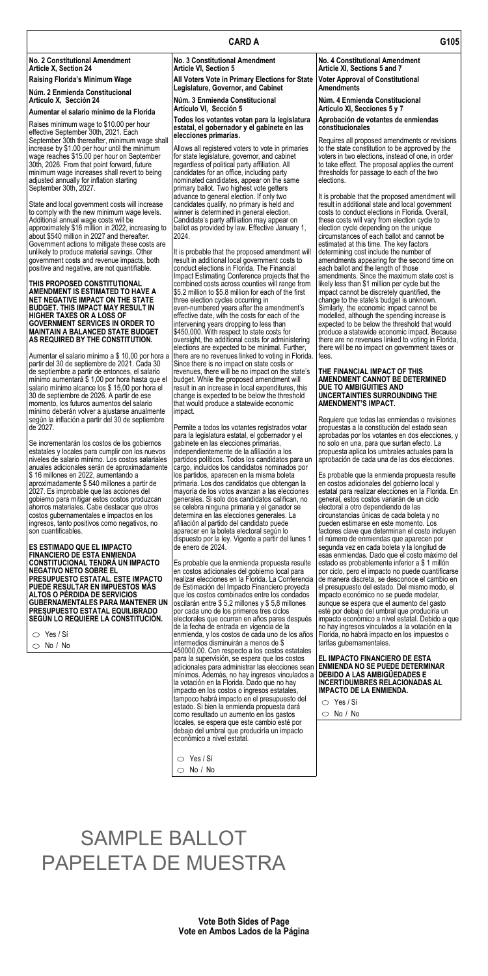# **No. 2 Constitutional Amendment No. 3 Constitutional Amendment No. 4 Constitutional Amendment**  Article X, Section 24 **Article 8** Article VI, Section 5 **Article XI, Sections 5 and 7**

## **CARD A G105**

Raises minimum wage to \$10.00 per hour effective September 30th, 2021. Each September 30th thereafter, minimum wage shall minimum wage increases shall revert to being<br>adjusted annually for inflation starting

**Raising Florida's Minimum Wage All Voters Vote in Primary Elections for State Voter Approval of Constitutional <sup>N</sup>úm. 2 Enmienda Constitucional Legislature, Governor, and Cabinet Amendments** 

**Artículo X, Sección 24 Núm. 3 Enmienda Constitucional Núm. 4 Enmienda Constitucional** 

## **Aumentar el salario mínimo de la Florida Artículo VI, Sección 5 Artículo XI, Secciones 5 y 7**

## **Todos los votantes votan para la legislatura estatal, el gobernador y el gabinete en las elecciones primarias.**

increase by \$1.00 per hour until the minimum<br>wage reaches \$15.00 per hour on September<br>30th, 2026. From that point forward, future regardless of political party affiliation. All<br>30th, 2026. From that point forward, future regardless of political party affiliation. All | to take effect. The proposal applies the current<br>candidates for an office, including party | thresholds for passage to each of the two adjusted annually for inflation starting nominated candidates, appear on the same elections.<br>September 30th, 2027. primary ballot. Two highest vote getters<br>advance to general election. If only two

**GOVERNMENT SERVICES IN ORDER TO** | intervening years dropping to less than | expected to be below the threshold that would unlikely to produce material savings. Other <br>It is probable that the proposed amendment will determining cost include the number of the second<br>government costs and revenue impacts, both result in additional local governmen result in additional local government costs to detainent appearing for the second time on<br>conduct elections in Florida. The Financial deach ballot and the length of those Impact Estimating Conference projects that the **THIS PROPOSED CONSTITUTIONAL** combined costs across counties will range from likely less than \$1 million per cycle but the combined costs across counties will range from likely less than \$1 million per cycle but the **AMEN** \$5.2 million to \$5.8 million for each of the first three election cycles occurring in **NET NEGATIVE IMPACT ON THE STATE** three election cycles occurring in change to the state's budget is unknown.<br> **BUDGET. THIS IMPACT MAY RESULT IN** even-numbered years after the amendment's Similarly, the economic impact c **BUDGET. THIS IMPACT MAY RESULT IN** even-numbered years after the amendment's **HIGHER TAXES OR A LOSS OF** effective date, with the costs for each of the **GOVERNMENT SERVICES IN ORDER TO** intervening years dropping to less **HIGHTR TAXES OF EXECT A LOSS OF EXECT A LOSS OF A LOSS OF A LOSS OF A LOSS OF A LOSS Intervening years dropping to less than expected to be below the threshold that wou MAINTAIN A BALANCED STATE BUDGET** \$450,000. With respect to state costs for produce a statewide economic impact. Because<br>AS REQUIRED BY THE CONSTITUTION. Proversight, the additional costs for administering there are no re oversight, the additional costs for administering elections are expected to be minimal. Further, Aumentar el salario mínimo a \$ 10,00 por hora a | there are no revenues linked to voting in Florida. | fees.<br>partir del 30 de septiembre de 2021. Cada 30 Since there is no impact on state costs or de septiembre a partir de entonces, el salario <sup>|</sup> revenues, there will be no impact on the state's | THE FINANCIAL IMPACT OF THIS<br>mínimo aumentará \$ 1,00 por hora hasta que el | budget. While the proposed amendment will | mínimo aumentará \$ 1,00 por hora hasta que el |budget. While the proposed amendment will **AMENDMENT CANNOT BE** I<br>salario mínimo alcance los \$ 15,00 por hora el quesult in an increase in local expenditures, this **DUE TO AMB** salario mínimo alcance los \$ 15,00 por hora el **result in an increase in local expenditures**, this **DUE TO AMBIGUITIES AND** 30 de septiembre de 2026. A partir de ese change is expected to be below the threshold **UNCERTAINTIES SURROUNDING THE**  momento, los futuros aumentos del salario <sup>|</sup> that would produce a statewide economic **AMENDMENT'S IMPACT.** 

## **Aprobación de votantes de enmiendas constitucionales**

Requires all proposed amendments or revisions<br>to the state constitution to be approved by the

State and local government costs will increase candidates qualify, no primary is held and result in additional state and local government to comply with the new minimum wage levels. winner is determined in general election. Costs to conduct elections in Florida. Overally conduct elections in Florida. Overally conduct elections in Florida. Overall, conduct el approximately \$16 million in 2022, increasing to |ballot as provided by law. Effective January 1, |election cycle depending on the unique<br>about \$540 million in 2027 and thereafter. || 2024. Government actions to mitigate these costs are positive and negative, are not quantifiable.

partir del 30 de septiembre de 2021. Cada 30 mínimo deberán volver a ajustarse anualmente impact.<br>según la inflación a partir del 30 de septiembre

anuales adicionales serán de aproximadamente | cargo, incluidos los candidatos nominados por<br>\$ 16 millones en 2022, aumentando a | los partidos, aparecen en la misma boleta aproximadamente \$ 540 millones a partir de<br>2027. Es improbable que las acciones del ahorros materiales. Cabe destacar que otros ingresos, tanto positivos como negativos, no<br>son cuantificables.

# **ES ESTIMADO QUE EL IMPACTO**  $\vert$  de enero de 2024. Segunda vez en cada boleta y la longitud de **FINANCIERO DE ESTA ENMIENDA PRESUPUESTO ESTATAL. ESTE IMPACTO PUEDE RESULTAR EN IMPUESTOS MÁS ALTOS O PÉRDIDA DE SERVICIOS PRESUPUESTO ESTATAL EQUILIBRADO** PRESUPUESTO ESTATAL EQUILIBRADO |por cada uno de los primeros tres ciclos<br>SEGÚN LO REQUIERE LA CONSTITUCIÓN. |electorales que ocurran en años pares c

|  | Yes / Sí |
|--|----------|
|--|----------|

 $\bigcirc$  No / No

advance to general election. If only two **It is probable that the proposed amendment** will<br>candidates qualify, no primary is held and Intesult in additional state and local government circumstances of each ballot and cannot be<br>estimated at this time. The key factors each ballot and the length of those amendments. Since the maximum state cost is there are no revenues linked to voting in Florida, there will be no impact on government taxes or

según la inflación a partir del 30 de septiembre |<br>| Permite a todos los votantes registrados votar | propuestas a la constitución del estado sean |<br>| Permite a todos los votantes registrados votar | propuestas a la consti propuestas a la constitución del estado sean aprobadas por los votantes en dos elecciones, y

Permite a todos los votantes registrados votar para la legislatura estatal, el gobernador y el Se incrementarán los costos de los gobiernos de gabinete en las elecciones primarias, de la propuesta aplica los<br>A propuesta aplica los mundiars con los nuevos de independientemente de la afiliación a los de propuesta apli estatales y locales para cumplir con los nuevos |independientemente de la afiliación a los ||propuesta aplica los umbrales actuales para la<br>niveles de salario mínimo. Los costos salariales |partidos políticos. Todos los ca partidos políticos. Todos los candidatos para un los partidos, aparecen en la misma boleta |Es probable que la enmienda propuesta resulte<br>primaria. Los dos candidatos que obtengan la |en costos adicionales del gobierno local y gobierno para mitigar estos costos produzcan generales. Si solo dos candidatos califican, no general, estos costos variarán de un ahorros materiales. Cabe destacar que otros se elebra ninguna primaria y el ganador se elect costos gubernamentales e impactos en los determina en las elecciones generales. La dircunstancias únicas de cada boleta y no<br>Ingresos, tanto positivos como negativos, no difiliación al partido del candidato puede de pueden aparecer en la boleta electoral según lo dispuesto por la ley. Vigente a partir del lunes 1

mayoría de los votos avanzan a las elecciones destatal para realizar elecciones en la Florida. En<br>generales. Si solo dos candidatos califican, no degeneral, estos costos variarán de un ciclo factores clave que determinan el costo incluyen el número de enmiendas que aparecen por esas enmiendas. Dado que el costo máximo del estado es probablemente inferior a \$ 1 millón por ciclo, pero el impacto no puede cuantificarse de manera discreta, se desconoce el cambio en el presupuesto del estado. Del mismo modo, el impacto económico no se puede modelar,<br>aunque se espera que el aumento del gasto esté por debajo del umbral que produciría un impacto económico a nivel estatal. Debido a que no hay ingresos vinculados a la votación en la tarifas gubernamentales.

**CONSTITUCIONAL TENDRÁ UN IMPACTO** Es probable que la enmienda propuesta resulte realizar elecciones en la Florida. La Conferencia de Estimación del Impacto Financiero proyecta que los costos combinados entre los condados oscilarán entre \$ 5,2 millones y \$ 5,8 millones electorales que ocurran en años pares después de la fecha de entrada en vigencia de la enmienda, y los costos de cada uno de los años | Florida, no habrá impacto en los impuestos o intermedios disminuirán a menos de \$ 450000,00. Con respecto a los costos estatales para la supervisión, se espera que los costos adicionales para administrar las elecciones sean mínimos. Además, no hay ingresos vinculados a la votación en la Florida. Dado que no hay impacto en los costos o ingresos estatales, tampoco habrá impacto en el presupuesto del estado. Si bien la enmienda propuesta dará como resultado un aumento en los gastos locales, se espera que este cambio esté por debajo del umbral que produciría un impacto económico a nivel estatal.

## **EL IMPACTO FINANCIERO DE ESTA ENMIENDA NO SE PUEDE DETERMINAR DEBIDO A LAS AMBIGÜEDADES E INCERTIDUMBRES RELACIONADAS AL IMPACTO DE LA ENMIENDA.**

- $\circ$  Yes / Sí
- $\circlearrowright$  No / No

 $\circ$  Yes / Sí

 $\circlearrowright$  No / No

**Vote Both Sides of Page Vote en Ambos Lados de la Página** 

# SAMPLE BALLOT PAPELETA DE MUESTRA